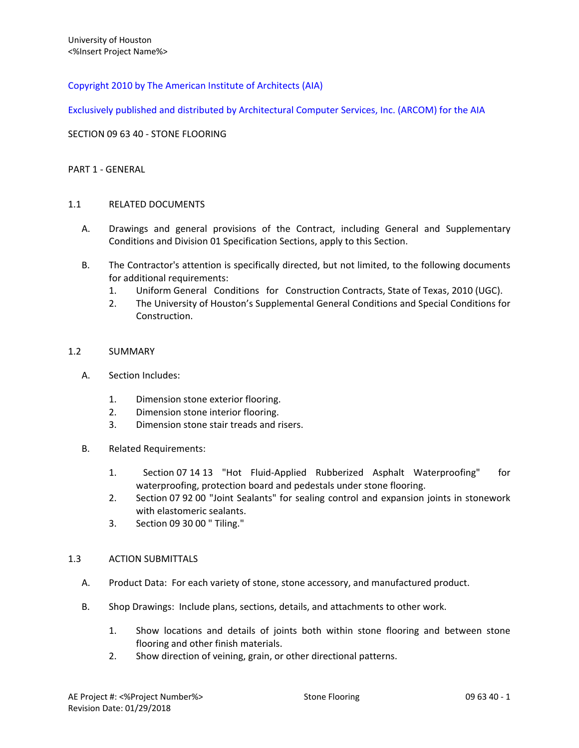## Copyright 2010 by The American Institute of Architects (AIA)

Exclusively published and distributed by Architectural Computer Services, Inc. (ARCOM) for the AIA

SECTION 09 63 40 - STONE FLOORING

### PART 1 - GENERAL

### 1.1 RELATED DOCUMENTS

- A. Drawings and general provisions of the Contract, including General and Supplementary Conditions and Division 01 Specification Sections, apply to this Section.
- B. The Contractor's attention is specifically directed, but not limited, to the following documents for additional requirements:
	- 1. Uniform General Conditions for Construction Contracts, State of Texas, 2010 (UGC).
	- 2. The University of Houston's Supplemental General Conditions and Special Conditions for Construction.

### 1.2 SUMMARY

- A. Section Includes:
	- 1. Dimension stone exterior flooring.
	- 2. Dimension stone interior flooring.
	- 3. Dimension stone stair treads and risers.
- B. Related Requirements:
	- 1. Section 07 14 13 "Hot Fluid-Applied Rubberized Asphalt Waterproofing" for waterproofing, protection board and pedestals under stone flooring.
	- 2. Section 07 92 00 "Joint Sealants" for sealing control and expansion joints in stonework with elastomeric sealants.
	- 3. Section 09 30 00 " Tiling."

### 1.3 ACTION SUBMITTALS

- A. Product Data: For each variety of stone, stone accessory, and manufactured product.
- B. Shop Drawings: Include plans, sections, details, and attachments to other work.
	- 1. Show locations and details of joints both within stone flooring and between stone flooring and other finish materials.
	- 2. Show direction of veining, grain, or other directional patterns.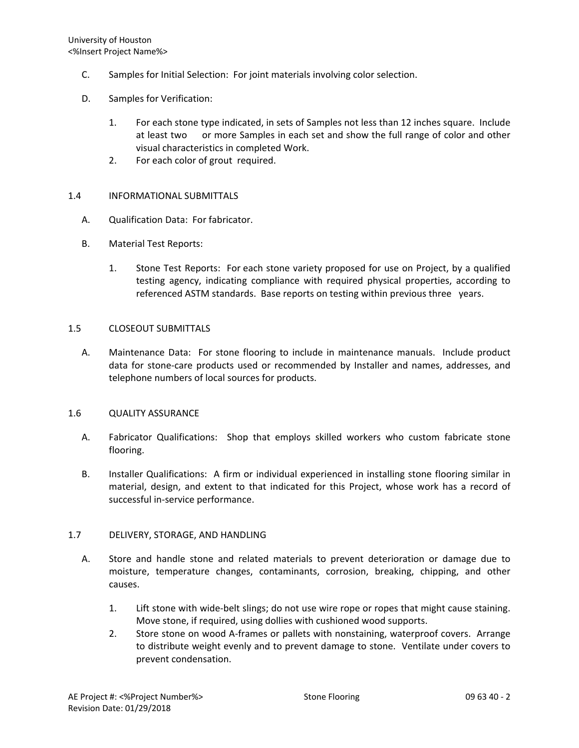- C. Samples for Initial Selection: For joint materials involving color selection.
- D. Samples for Verification:
	- 1. For each stone type indicated, in sets of Samples not less than 12 inches square. Include at least two or more Samples in each set and show the full range of color and other visual characteristics in completed Work.
	- 2. For each color of grout required.

## 1.4 INFORMATIONAL SUBMITTALS

- A. Qualification Data: For fabricator.
- B. Material Test Reports:
	- 1. Stone Test Reports: For each stone variety proposed for use on Project, by a qualified testing agency, indicating compliance with required physical properties, according to referenced ASTM standards. Base reports on testing within previous three years.

### 1.5 CLOSEOUT SUBMITTALS

A. Maintenance Data: For stone flooring to include in maintenance manuals. Include product data for stone-care products used or recommended by Installer and names, addresses, and telephone numbers of local sources for products.

## 1.6 QUALITY ASSURANCE

- A. Fabricator Qualifications: Shop that employs skilled workers who custom fabricate stone flooring.
- B. Installer Qualifications: A firm or individual experienced in installing stone flooring similar in material, design, and extent to that indicated for this Project, whose work has a record of successful in-service performance.

## 1.7 DELIVERY, STORAGE, AND HANDLING

- A. Store and handle stone and related materials to prevent deterioration or damage due to moisture, temperature changes, contaminants, corrosion, breaking, chipping, and other causes.
	- 1. Lift stone with wide-belt slings; do not use wire rope or ropes that might cause staining. Move stone, if required, using dollies with cushioned wood supports.
	- 2. Store stone on wood A-frames or pallets with nonstaining, waterproof covers. Arrange to distribute weight evenly and to prevent damage to stone. Ventilate under covers to prevent condensation.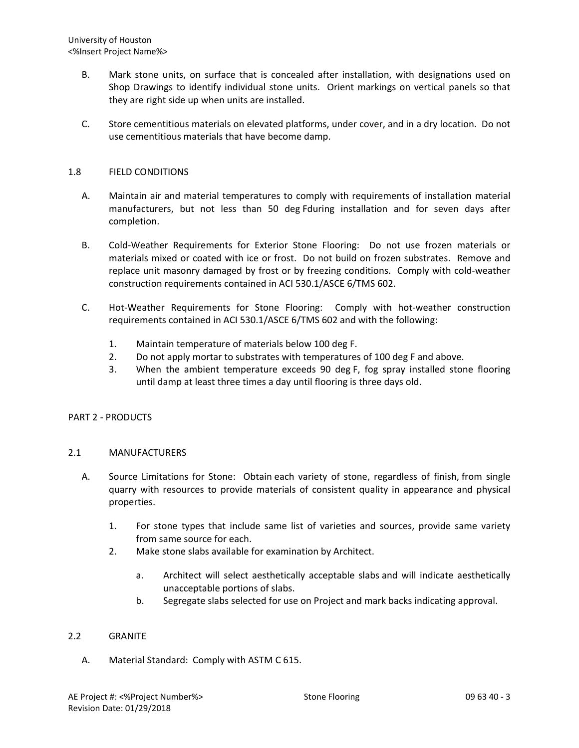- B. Mark stone units, on surface that is concealed after installation, with designations used on Shop Drawings to identify individual stone units. Orient markings on vertical panels so that they are right side up when units are installed.
- C. Store cementitious materials on elevated platforms, under cover, and in a dry location. Do not use cementitious materials that have become damp.

### 1.8 FIELD CONDITIONS

- A. Maintain air and material temperatures to comply with requirements of installation material manufacturers, but not less than 50 deg Fduring installation and for seven days after completion.
- B. Cold-Weather Requirements for Exterior Stone Flooring: Do not use frozen materials or materials mixed or coated with ice or frost. Do not build on frozen substrates. Remove and replace unit masonry damaged by frost or by freezing conditions. Comply with cold-weather construction requirements contained in ACI 530.1/ASCE 6/TMS 602.
- C. Hot-Weather Requirements for Stone Flooring: Comply with hot-weather construction requirements contained in ACI 530.1/ASCE 6/TMS 602 and with the following:
	- 1. Maintain temperature of materials below 100 deg F.
	- 2. Do not apply mortar to substrates with temperatures of 100 deg F and above.
	- 3. When the ambient temperature exceeds 90 deg F, fog spray installed stone flooring until damp at least three times a day until flooring is three days old.

## PART 2 - PRODUCTS

### 2.1 MANUFACTURERS

- A. Source Limitations for Stone: Obtain each variety of stone, regardless of finish, from single quarry with resources to provide materials of consistent quality in appearance and physical properties.
	- 1. For stone types that include same list of varieties and sources, provide same variety from same source for each.
	- 2. Make stone slabs available for examination by Architect.
		- a. Architect will select aesthetically acceptable slabs and will indicate aesthetically unacceptable portions of slabs.
		- b. Segregate slabs selected for use on Project and mark backs indicating approval.

## 2.2 GRANITE

A. Material Standard: Comply with ASTM C 615.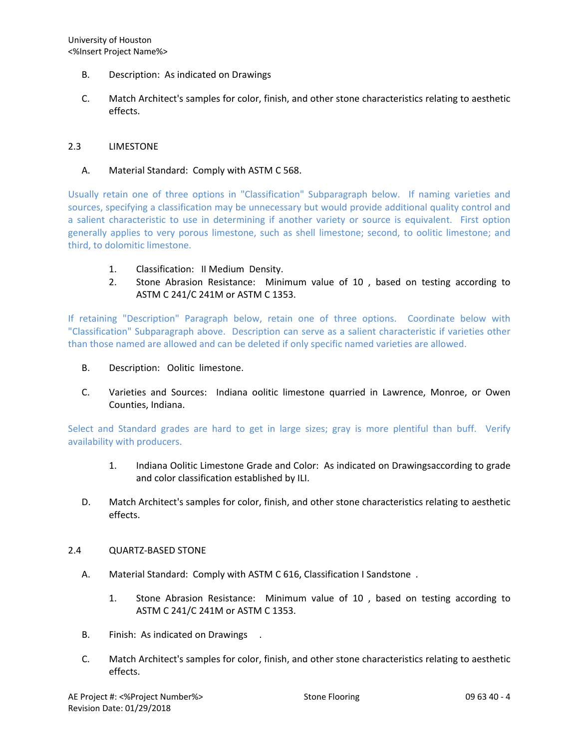- B. Description: As indicated on Drawings
- C. Match Architect's samples for color, finish, and other stone characteristics relating to aesthetic effects.

### 2.3 LIMESTONE

### A. Material Standard: Comply with ASTM C 568.

Usually retain one of three options in "Classification" Subparagraph below. If naming varieties and sources, specifying a classification may be unnecessary but would provide additional quality control and a salient characteristic to use in determining if another variety or source is equivalent. First option generally applies to very porous limestone, such as shell limestone; second, to oolitic limestone; and third, to dolomitic limestone.

- 1. Classification: II Medium Density.
- 2. Stone Abrasion Resistance: Minimum value of 10 , based on testing according to ASTM C 241/C 241M or ASTM C 1353.

If retaining "Description" Paragraph below, retain one of three options. Coordinate below with "Classification" Subparagraph above. Description can serve as a salient characteristic if varieties other than those named are allowed and can be deleted if only specific named varieties are allowed.

- B. Description: Oolitic limestone.
- C. Varieties and Sources: Indiana oolitic limestone quarried in Lawrence, Monroe, or Owen Counties, Indiana.

Select and Standard grades are hard to get in large sizes; gray is more plentiful than buff. Verify availability with producers.

- 1. Indiana Oolitic Limestone Grade and Color: As indicated on Drawingsaccording to grade and color classification established by ILI.
- D. Match Architect's samples for color, finish, and other stone characteristics relating to aesthetic effects.

### 2.4 QUARTZ-BASED STONE

- A. Material Standard: Comply with ASTM C 616, Classification I Sandstone .
	- 1. Stone Abrasion Resistance: Minimum value of 10 , based on testing according to ASTM C 241/C 241M or ASTM C 1353.
- B. Finish: As indicated on Drawings .
- C. Match Architect's samples for color, finish, and other stone characteristics relating to aesthetic effects.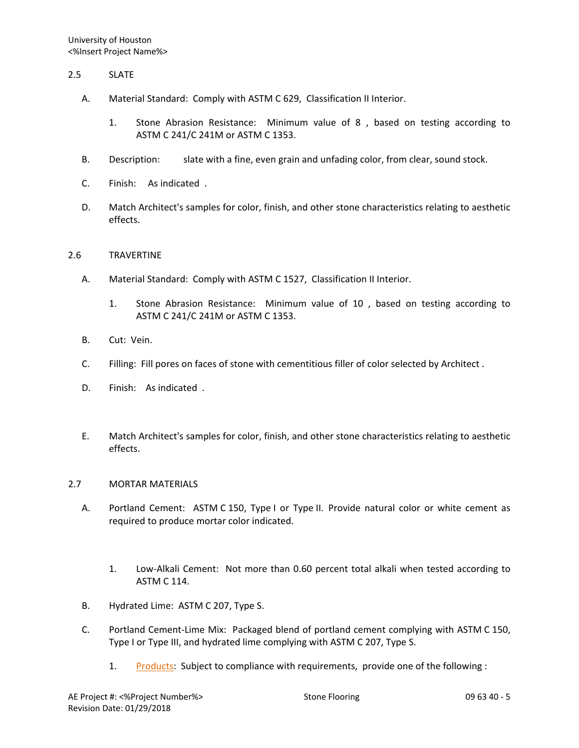### 2.5 SLATE

- A. Material Standard: Comply with ASTM C 629, Classification II Interior.
	- 1. Stone Abrasion Resistance: Minimum value of 8 , based on testing according to ASTM C 241/C 241M or ASTM C 1353.
- B. Description: slate with a fine, even grain and unfading color, from clear, sound stock.
- C. Finish: As indicated .
- D. Match Architect's samples for color, finish, and other stone characteristics relating to aesthetic effects.

### 2.6 TRAVERTINE

- A. Material Standard: Comply with ASTM C 1527, Classification II Interior.
	- 1. Stone Abrasion Resistance: Minimum value of 10 , based on testing according to ASTM C 241/C 241M or ASTM C 1353.
- B. Cut: Vein.
- C. Filling: Fill pores on faces of stone with cementitious filler of color selected by Architect .
- D. Finish: As indicated .
- E. Match Architect's samples for color, finish, and other stone characteristics relating to aesthetic effects.

#### 2.7 MORTAR MATERIALS

- A. Portland Cement: ASTM C 150, Type I or Type II. Provide natural color or white cement as required to produce mortar color indicated.
	- 1. Low-Alkali Cement: Not more than 0.60 percent total alkali when tested according to ASTM C 114.
- B. Hydrated Lime: ASTM C 207, Type S.
- C. Portland Cement-Lime Mix: Packaged blend of portland cement complying with ASTM C 150, Type I or Type III, and hydrated lime complying with ASTM C 207, Type S.
	- 1. [Products:](http://www.specagent.com/LookUp/?ulid=379&mf=04&src=wd) Subject to compliance with requirements, provide one of the following :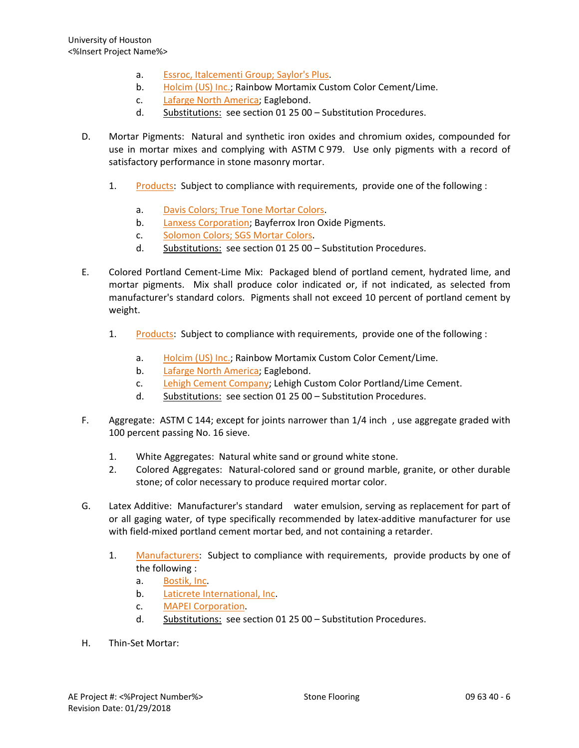- a. [Essroc, Italcementi Group; Saylor's Plus.](http://www.specagent.com/LookUp/?uid=123456815686&mf=04&src=wd)
- b. [Holcim \(US\) Inc.;](http://www.specagent.com/LookUp/?uid=123456815687&mf=04&src=wd) Rainbow Mortamix Custom Color Cement/Lime.
- c. [Lafarge North America;](http://www.specagent.com/LookUp/?uid=123456815688&mf=04&src=wd) Eaglebond.
- d. Substitutions: see section 01 25 00 Substitution Procedures.
- D. Mortar Pigments: Natural and synthetic iron oxides and chromium oxides, compounded for use in mortar mixes and complying with ASTM C 979. Use only pigments with a record of satisfactory performance in stone masonry mortar.
	- 1. [Products:](http://www.specagent.com/LookUp/?ulid=380&mf=04&src=wd) Subject to compliance with requirements, provide one of the following :
		- a. [Davis Colors; True Tone Mortar Colors.](http://www.specagent.com/LookUp/?uid=123456815691&mf=04&src=wd)
		- b. [Lanxess Corporation;](http://www.specagent.com/LookUp/?uid=123456835286&mf=04&src=wd) Bayferrox Iron Oxide Pigments.
		- c. [Solomon Colors; SGS Mortar Colors.](http://www.specagent.com/LookUp/?uid=123456815692&mf=04&src=wd)
		- d. Substitutions: see section 01 25 00 Substitution Procedures.
- E. Colored Portland Cement-Lime Mix: Packaged blend of portland cement, hydrated lime, and mortar pigments. Mix shall produce color indicated or, if not indicated, as selected from manufacturer's standard colors. Pigments shall not exceed 10 percent of portland cement by weight.
	- 1. [Products:](http://www.specagent.com/LookUp/?ulid=6724&mf=04&src=wd) Subject to compliance with requirements, provide one of the following :
		- a. [Holcim \(US\) Inc.;](http://www.specagent.com/LookUp/?uid=123456835287&mf=04&src=wd) Rainbow Mortamix Custom Color Cement/Lime.
		- b. [Lafarge North America;](http://www.specagent.com/LookUp/?uid=123456835288&mf=04&src=wd) Eaglebond.
		- c. [Lehigh Cement Company;](http://www.specagent.com/LookUp/?uid=123456835289&mf=04&src=wd) Lehigh Custom Color Portland/Lime Cement.
		- d. Substitutions: see section 01 25 00 Substitution Procedures.
- F. Aggregate: ASTM C 144; except for joints narrower than 1/4 inch , use aggregate graded with 100 percent passing No. 16 sieve.
	- 1. White Aggregates: Natural white sand or ground white stone.
	- 2. Colored Aggregates: Natural-colored sand or ground marble, granite, or other durable stone; of color necessary to produce required mortar color.
- G. Latex Additive: Manufacturer's standard water emulsion, serving as replacement for part of or all gaging water, of type specifically recommended by latex-additive manufacturer for use with field-mixed portland cement mortar bed, and not containing a retarder.
	- 1. [Manufacturers:](http://www.specagent.com/LookUp/?ulid=381&mf=04&src=wd) Subject to compliance with requirements, provide products by one of the following :
		- a. [Bostik, Inc.](http://www.specagent.com/LookUp/?uid=123456793170&mf=04&src=wd)
		- b. [Laticrete International, Inc.](http://www.specagent.com/LookUp/?uid=123456793181&mf=04&src=wd)
		- c. [MAPEI Corporation.](http://www.specagent.com/LookUp/?uid=123456793183&mf=04&src=wd)
		- d. Substitutions: see section 01 25 00 Substitution Procedures.
- H. Thin-Set Mortar: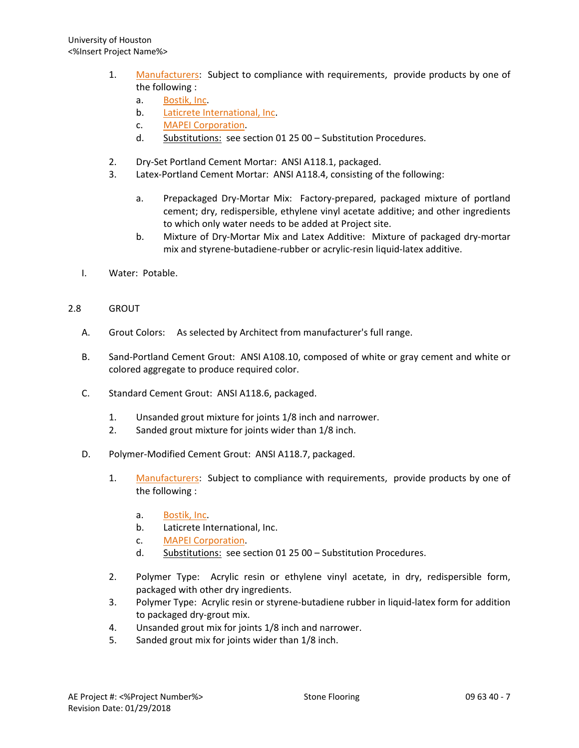- 1. [Manufacturers:](http://www.specagent.com/LookUp/?ulid=382&mf=04&src=wd) Subject to compliance with requirements, provide products by one of the following :
	- a. [Bostik, Inc.](http://www.specagent.com/LookUp/?uid=123456793194&mf=04&src=wd)
	- b. [Laticrete International, Inc.](http://www.specagent.com/LookUp/?uid=123456793198&mf=04&src=wd)
	- c. [MAPEI Corporation.](http://www.specagent.com/LookUp/?uid=123456793199&mf=04&src=wd)
	- d. Substitutions: see section 01 25 00 Substitution Procedures.
- 2. Dry-Set Portland Cement Mortar: ANSI A118.1, packaged.
- 3. Latex-Portland Cement Mortar: ANSI A118.4, consisting of the following:
	- a. Prepackaged Dry-Mortar Mix: Factory-prepared, packaged mixture of portland cement; dry, redispersible, ethylene vinyl acetate additive; and other ingredients to which only water needs to be added at Project site.
	- b. Mixture of Dry-Mortar Mix and Latex Additive: Mixture of packaged dry-mortar mix and styrene-butadiene-rubber or acrylic-resin liquid-latex additive.
- I. Water: Potable.
- 2.8 GROUT
	- A. Grout Colors: As selected by Architect from manufacturer's full range.
	- B. Sand-Portland Cement Grout: ANSI A108.10, composed of white or gray cement and white or colored aggregate to produce required color.
	- C. Standard Cement Grout: ANSI A118.6, packaged.
		- 1. Unsanded grout mixture for joints 1/8 inch and narrower.
		- 2. Sanded grout mixture for joints wider than 1/8 inch.
	- D. Polymer-Modified Cement Grout: ANSI A118.7, packaged.
		- 1. [Manufacturers:](http://www.specagent.com/LookUp/?ulid=383&mf=04&src=wd) Subject to compliance with requirements, provide products by one of the following :
			- a. [Bostik, Inc.](http://www.specagent.com/LookUp/?uid=123456793203&mf=04&src=wd)
			- b. Laticrete International, Inc.
			- c. [MAPEI Corporation.](http://www.specagent.com/LookUp/?uid=123456793208&mf=04&src=wd)
			- d. Substitutions: see section 01 25 00 Substitution Procedures.
		- 2. Polymer Type: Acrylic resin or ethylene vinyl acetate, in dry, redispersible form, packaged with other dry ingredients.
		- 3. Polymer Type: Acrylic resin or styrene-butadiene rubber in liquid-latex form for addition to packaged dry-grout mix.
		- 4. Unsanded grout mix for joints 1/8 inch and narrower.
		- 5. Sanded grout mix for joints wider than 1/8 inch.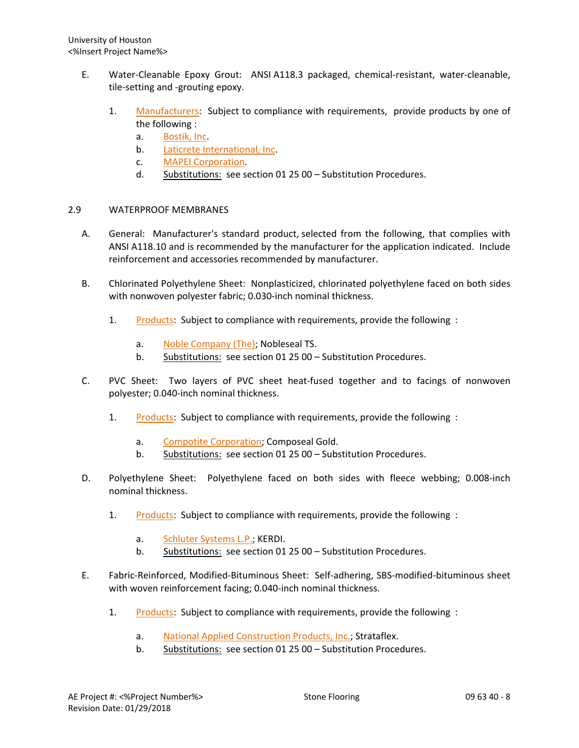- E. Water-Cleanable Epoxy Grout: ANSI A118.3 packaged, chemical-resistant, water-cleanable, tile-setting and -grouting epoxy.
	- 1. [Manufacturers:](http://www.specagent.com/LookUp/?ulid=384&mf=04&src=wd) Subject to compliance with requirements, provide products by one of the following :
		- a. [Bostik, Inc.](http://www.specagent.com/LookUp/?uid=123456793212&mf=04&src=wd)
		- b. [Laticrete International, Inc.](http://www.specagent.com/LookUp/?uid=123456793215&mf=04&src=wd)
		- c. [MAPEI Corporation.](http://www.specagent.com/LookUp/?uid=123456793216&mf=04&src=wd)
		- d. Substitutions: see section 01 25 00 Substitution Procedures.

## 2.9 WATERPROOF MEMBRANES

- A. General: Manufacturer's standard product, selected from the following, that complies with ANSI A118.10 and is recommended by the manufacturer for the application indicated. Include reinforcement and accessories recommended by manufacturer.
- B. Chlorinated Polyethylene Sheet: Nonplasticized, chlorinated polyethylene faced on both sides with nonwoven polyester fabric; 0.030-inch nominal thickness.
	- 1. [Products:](http://www.specagent.com/LookUp/?ulid=6725&mf=04&src=wd) Subject to compliance with requirements, provide the following :
		- a. [Noble Company \(The\);](http://www.specagent.com/LookUp/?uid=123456835301&mf=04&src=wd) Nobleseal TS.
		- b. Substitutions: see section 01 25 00 Substitution Procedures.
- C. PVC Sheet: Two layers of PVC sheet heat-fused together and to facings of nonwoven polyester; 0.040-inch nominal thickness.
	- 1. [Products:](http://www.specagent.com/LookUp/?ulid=6726&mf=04&src=wd) Subject to compliance with requirements, provide the following :
		- a. [Compotite Corporation;](http://www.specagent.com/LookUp/?uid=123456835302&mf=04&src=wd) Composeal Gold.
		- b. Substitutions: see section 01 25 00 Substitution Procedures.
- D. Polyethylene Sheet: Polyethylene faced on both sides with fleece webbing; 0.008-inch nominal thickness.
	- 1. [Products:](http://www.specagent.com/LookUp/?ulid=6727&mf=04&src=wd) Subject to compliance with requirements, provide the following :
		- a. [Schluter Systems L.P.;](http://www.specagent.com/LookUp/?uid=123456835303&mf=04&src=wd) KERDI.
		- b. Substitutions: see section 01 25 00 Substitution Procedures.
- E. Fabric-Reinforced, Modified-Bituminous Sheet: Self-adhering, SBS-modified-bituminous sheet with woven reinforcement facing; 0.040-inch nominal thickness.
	- 1. [Products:](http://www.specagent.com/LookUp/?ulid=6728&mf=04&src=wd) Subject to compliance with requirements, provide the following :
		- a. [National Applied Construction Products, Inc.;](http://www.specagent.com/LookUp/?uid=123456835304&mf=04&src=wd) Strataflex.
		- b. Substitutions: see section 01 25 00 Substitution Procedures.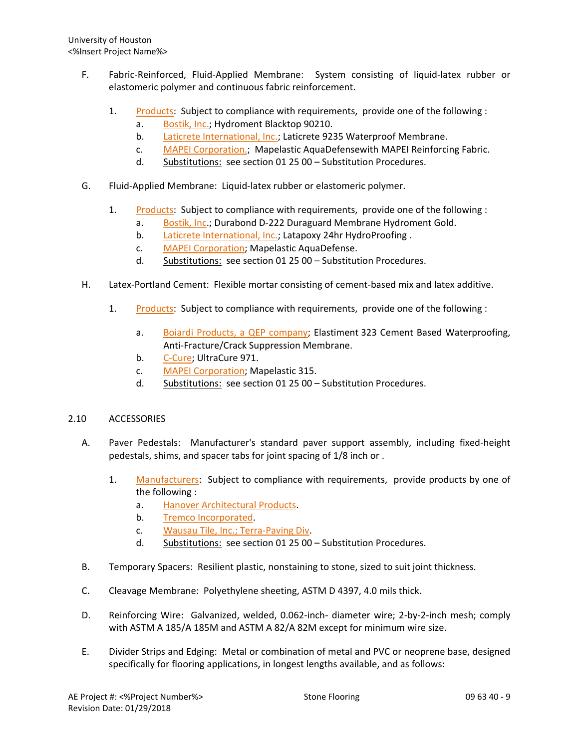- F. Fabric-Reinforced, Fluid-Applied Membrane: System consisting of liquid-latex rubber or elastomeric polymer and continuous fabric reinforcement.
	- 1. [Products:](http://www.specagent.com/LookUp/?ulid=6729&mf=04&src=wd) Subject to compliance with requirements, provide one of the following :
		- a. [Bostik, Inc.;](http://www.specagent.com/LookUp/?uid=123456835306&mf=04&src=wd) Hydroment Blacktop 90210.
		- b. [Laticrete International, Inc.;](http://www.specagent.com/LookUp/?uid=123456835308&mf=04&src=wd) Laticrete 9235 Waterproof Membrane.
		- c. [MAPEI Corporation.;](http://www.specagent.com/LookUp/?uid=123456835309&mf=04&src=wd) Mapelastic AquaDefensewith MAPEI Reinforcing Fabric.
		- d. Substitutions: see section 01 25 00 Substitution Procedures.
- G. Fluid-Applied Membrane: Liquid-latex rubber or elastomeric polymer.
	- 1. [Products:](http://www.specagent.com/LookUp/?ulid=6730&mf=04&src=wd) Subject to compliance with requirements, provide one of the following :
		- a. [Bostik, Inc.](http://www.specagent.com/LookUp/?uid=123456835314&mf=04&src=wd); Durabond D-222 Duraguard Membrane Hydroment Gold.
		- b. [Laticrete International, Inc.;](http://www.specagent.com/LookUp/?uid=123456835318&mf=04&src=wd) Latapoxy 24hr HydroProofing.
		- c. [MAPEI Corporation;](http://www.specagent.com/LookUp/?uid=123456835319&mf=04&src=wd) Mapelastic AquaDefense.
		- d. Substitutions: see section 01 25 00 Substitution Procedures.
- H. Latex-Portland Cement: Flexible mortar consisting of cement-based mix and latex additive.
	- 1. [Products:](http://www.specagent.com/LookUp/?ulid=6731&mf=04&src=wd) Subject to compliance with requirements, provide one of the following :
		- a. [Boiardi Products, a QEP company;](http://www.specagent.com/LookUp/?uid=123456835323&mf=04&src=wd) Elastiment 323 Cement Based Waterproofing, Anti-Fracture/Crack Suppression Membrane.
		- b. [C-Cure;](http://www.specagent.com/LookUp/?uid=123456835324&mf=04&src=wd) UltraCure 971.
		- c. [MAPEI Corporation;](http://www.specagent.com/LookUp/?uid=123456835325&mf=04&src=wd) Mapelastic 315.
		- d. Substitutions: see section 01 25 00 Substitution Procedures.

## 2.10 ACCESSORIES

- A. Paver Pedestals: Manufacturer's standard paver support assembly, including fixed-height pedestals, shims, and spacer tabs for joint spacing of 1/8 inch or .
	- 1. [Manufacturers:](http://www.specagent.com/LookUp/?ulid=386&mf=04&src=wd) Subject to compliance with requirements, provide products by one of the following :
		- a. Hanover [Architectural Products.](http://www.specagent.com/LookUp/?uid=123456793230&mf=04&src=wd)
		- b. [Tremco Incorporated.](http://www.specagent.com/LookUp/?uid=123456793234&mf=04&src=wd)
		- c. [Wausau Tile, Inc.; Terra-Paving Div.](http://www.specagent.com/LookUp/?uid=123456815699&mf=04&src=wd)
		- d. Substitutions: see section 01 25 00 Substitution Procedures.
- B. Temporary Spacers: Resilient plastic, nonstaining to stone, sized to suit joint thickness.
- C. Cleavage Membrane: Polyethylene sheeting, ASTM D 4397, 4.0 mils thick.
- D. Reinforcing Wire: Galvanized, welded, 0.062-inch- diameter wire; 2-by-2-inch mesh; comply with ASTM A 185/A 185M and ASTM A 82/A 82M except for minimum wire size.
- E. Divider Strips and Edging: Metal or combination of metal and PVC or neoprene base, designed specifically for flooring applications, in longest lengths available, and as follows: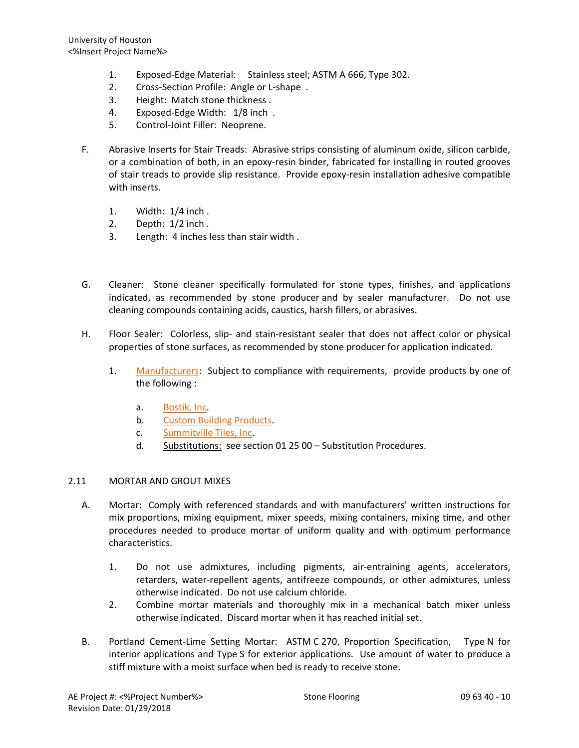- 1. Exposed-Edge Material: Stainless steel; ASTM A 666, Type 302.
- 2. Cross-Section Profile: Angle or L-shape .
- 3. Height: Match stone thickness .
- 4. Exposed-Edge Width: 1/8 inch .
- 5. Control-Joint Filler: Neoprene.
- F. Abrasive Inserts for Stair Treads: Abrasive strips consisting of aluminum oxide, silicon carbide, or a combination of both, in an epoxy-resin binder, fabricated for installing in routed grooves of stair treads to provide slip resistance. Provide epoxy-resin installation adhesive compatible with inserts.
	- 1. Width: 1/4 inch .
	- 2. Depth: 1/2 inch .
	- 3. Length: 4 inches less than stair width .
- G. Cleaner: Stone cleaner specifically formulated for stone types, finishes, and applications indicated, as recommended by stone producer and by sealer manufacturer. Do not use cleaning compounds containing acids, caustics, harsh fillers, or abrasives.
- H. Floor Sealer: Colorless, slip- and stain-resistant sealer that does not affect color or physical properties of stone surfaces, as recommended by stone producer for application indicated.
	- 1. [Manufacturers:](http://www.specagent.com/LookUp/?ulid=387&mf=04&src=wd) Subject to compliance with requirements, provide products by one of the following :
		- a. [Bostik, Inc.](http://www.specagent.com/LookUp/?uid=123456793236&mf=04&src=wd)
		- b. [Custom Building Products.](http://www.specagent.com/LookUp/?uid=123456793237&mf=04&src=wd)
		- c. [Summitville Tiles, Inc.](http://www.specagent.com/LookUp/?uid=123456793243&mf=04&src=wd)
		- d. Substitutions: see section 01 25 00 Substitution Procedures.

### 2.11 MORTAR AND GROUT MIXES

- A. Mortar: Comply with referenced standards and with manufacturers' written instructions for mix proportions, mixing equipment, mixer speeds, mixing containers, mixing time, and other procedures needed to produce mortar of uniform quality and with optimum performance characteristics.
	- 1. Do not use admixtures, including pigments, air-entraining agents, accelerators, retarders, water-repellent agents, antifreeze compounds, or other admixtures, unless otherwise indicated. Do not use calcium chloride.
	- 2. Combine mortar materials and thoroughly mix in a mechanical batch mixer unless otherwise indicated. Discard mortar when it has reached initial set.
- B. Portland Cement-Lime Setting Mortar: ASTM C 270, Proportion Specification, Type N for interior applications and Type S for exterior applications. Use amount of water to produce a stiff mixture with a moist surface when bed is ready to receive stone.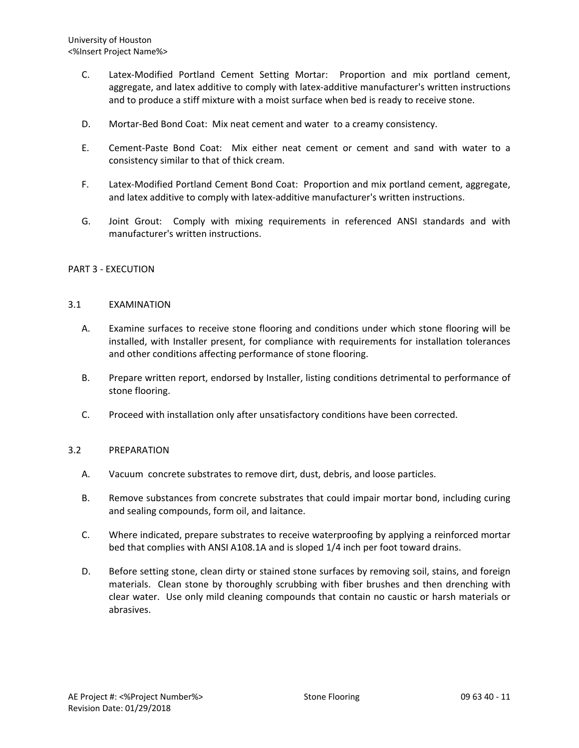- C. Latex-Modified Portland Cement Setting Mortar: Proportion and mix portland cement, aggregate, and latex additive to comply with latex-additive manufacturer's written instructions and to produce a stiff mixture with a moist surface when bed is ready to receive stone.
- D. Mortar-Bed Bond Coat: Mix neat cement and water to a creamy consistency.
- E. Cement-Paste Bond Coat: Mix either neat cement or cement and sand with water to a consistency similar to that of thick cream.
- F. Latex-Modified Portland Cement Bond Coat: Proportion and mix portland cement, aggregate, and latex additive to comply with latex-additive manufacturer's written instructions.
- G. Joint Grout: Comply with mixing requirements in referenced ANSI standards and with manufacturer's written instructions.

### PART 3 - EXECUTION

### 3.1 EXAMINATION

- A. Examine surfaces to receive stone flooring and conditions under which stone flooring will be installed, with Installer present, for compliance with requirements for installation tolerances and other conditions affecting performance of stone flooring.
- B. Prepare written report, endorsed by Installer, listing conditions detrimental to performance of stone flooring.
- C. Proceed with installation only after unsatisfactory conditions have been corrected.

### 3.2 PREPARATION

- A. Vacuum concrete substrates to remove dirt, dust, debris, and loose particles.
- B. Remove substances from concrete substrates that could impair mortar bond, including curing and sealing compounds, form oil, and laitance.
- C. Where indicated, prepare substrates to receive waterproofing by applying a reinforced mortar bed that complies with ANSI A108.1A and is sloped 1/4 inch per foot toward drains.
- D. Before setting stone, clean dirty or stained stone surfaces by removing soil, stains, and foreign materials. Clean stone by thoroughly scrubbing with fiber brushes and then drenching with clear water. Use only mild cleaning compounds that contain no caustic or harsh materials or abrasives.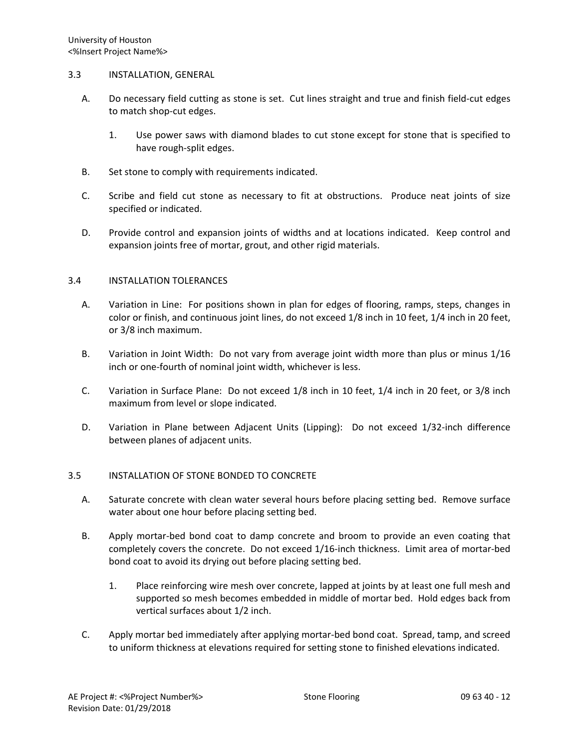### 3.3 INSTALLATION, GENERAL

- A. Do necessary field cutting as stone is set. Cut lines straight and true and finish field-cut edges to match shop-cut edges.
	- 1. Use power saws with diamond blades to cut stone except for stone that is specified to have rough-split edges.
- B. Set stone to comply with requirements indicated.
- C. Scribe and field cut stone as necessary to fit at obstructions. Produce neat joints of size specified or indicated.
- D. Provide control and expansion joints of widths and at locations indicated. Keep control and expansion joints free of mortar, grout, and other rigid materials.

## 3.4 INSTALLATION TOLERANCES

- A. Variation in Line: For positions shown in plan for edges of flooring, ramps, steps, changes in color or finish, and continuous joint lines, do not exceed 1/8 inch in 10 feet, 1/4 inch in 20 feet, or 3/8 inch maximum.
- B. Variation in Joint Width: Do not vary from average joint width more than plus or minus 1/16 inch or one-fourth of nominal joint width, whichever is less.
- C. Variation in Surface Plane: Do not exceed 1/8 inch in 10 feet, 1/4 inch in 20 feet, or 3/8 inch maximum from level or slope indicated.
- D. Variation in Plane between Adjacent Units (Lipping): Do not exceed 1/32-inch difference between planes of adjacent units.

## 3.5 INSTALLATION OF STONE BONDED TO CONCRETE

- A. Saturate concrete with clean water several hours before placing setting bed. Remove surface water about one hour before placing setting bed.
- B. Apply mortar-bed bond coat to damp concrete and broom to provide an even coating that completely covers the concrete. Do not exceed 1/16-inch thickness. Limit area of mortar-bed bond coat to avoid its drying out before placing setting bed.
	- 1. Place reinforcing wire mesh over concrete, lapped at joints by at least one full mesh and supported so mesh becomes embedded in middle of mortar bed. Hold edges back from vertical surfaces about 1/2 inch.
- C. Apply mortar bed immediately after applying mortar-bed bond coat. Spread, tamp, and screed to uniform thickness at elevations required for setting stone to finished elevations indicated.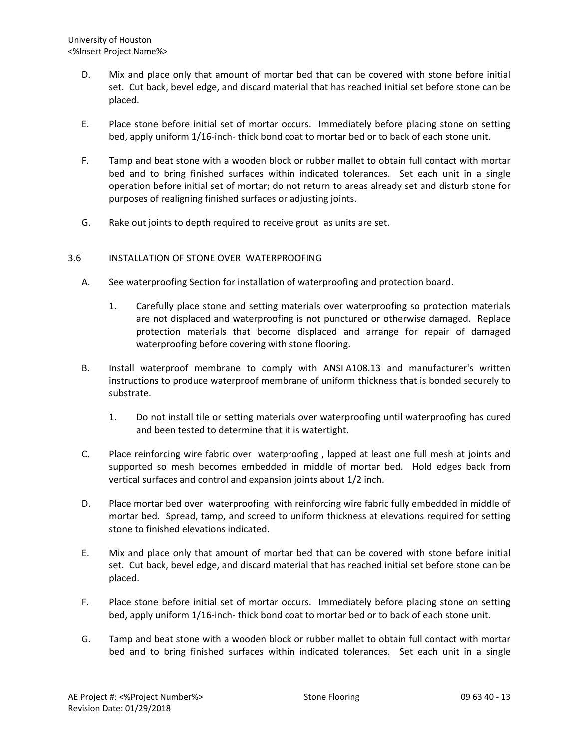- D. Mix and place only that amount of mortar bed that can be covered with stone before initial set. Cut back, bevel edge, and discard material that has reached initial set before stone can be placed.
- E. Place stone before initial set of mortar occurs. Immediately before placing stone on setting bed, apply uniform 1/16-inch- thick bond coat to mortar bed or to back of each stone unit.
- F. Tamp and beat stone with a wooden block or rubber mallet to obtain full contact with mortar bed and to bring finished surfaces within indicated tolerances. Set each unit in a single operation before initial set of mortar; do not return to areas already set and disturb stone for purposes of realigning finished surfaces or adjusting joints.
- G. Rake out joints to depth required to receive grout as units are set.

# 3.6 INSTALLATION OF STONE OVER WATERPROOFING

- A. See waterproofing Section for installation of waterproofing and protection board.
	- 1. Carefully place stone and setting materials over waterproofing so protection materials are not displaced and waterproofing is not punctured or otherwise damaged. Replace protection materials that become displaced and arrange for repair of damaged waterproofing before covering with stone flooring.
- B. Install waterproof membrane to comply with ANSI A108.13 and manufacturer's written instructions to produce waterproof membrane of uniform thickness that is bonded securely to substrate.
	- 1. Do not install tile or setting materials over waterproofing until waterproofing has cured and been tested to determine that it is watertight.
- C. Place reinforcing wire fabric over waterproofing , lapped at least one full mesh at joints and supported so mesh becomes embedded in middle of mortar bed. Hold edges back from vertical surfaces and control and expansion joints about 1/2 inch.
- D. Place mortar bed over waterproofing with reinforcing wire fabric fully embedded in middle of mortar bed. Spread, tamp, and screed to uniform thickness at elevations required for setting stone to finished elevations indicated.
- E. Mix and place only that amount of mortar bed that can be covered with stone before initial set. Cut back, bevel edge, and discard material that has reached initial set before stone can be placed.
- F. Place stone before initial set of mortar occurs. Immediately before placing stone on setting bed, apply uniform 1/16-inch- thick bond coat to mortar bed or to back of each stone unit.
- G. Tamp and beat stone with a wooden block or rubber mallet to obtain full contact with mortar bed and to bring finished surfaces within indicated tolerances. Set each unit in a single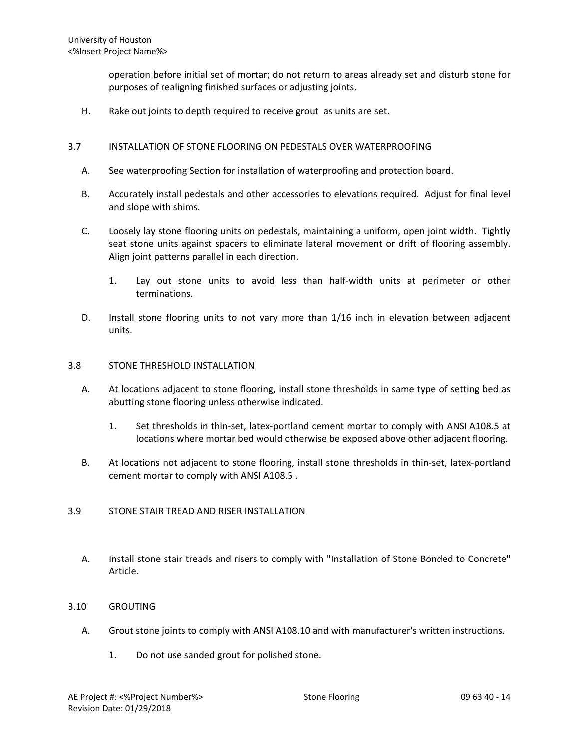operation before initial set of mortar; do not return to areas already set and disturb stone for purposes of realigning finished surfaces or adjusting joints.

H. Rake out joints to depth required to receive grout as units are set.

### 3.7 INSTALLATION OF STONE FLOORING ON PEDESTALS OVER WATERPROOFING

- A. See waterproofing Section for installation of waterproofing and protection board.
- B. Accurately install pedestals and other accessories to elevations required. Adjust for final level and slope with shims.
- C. Loosely lay stone flooring units on pedestals, maintaining a uniform, open joint width. Tightly seat stone units against spacers to eliminate lateral movement or drift of flooring assembly. Align joint patterns parallel in each direction.
	- 1. Lay out stone units to avoid less than half-width units at perimeter or other terminations.
- D. Install stone flooring units to not vary more than 1/16 inch in elevation between adjacent units.

### 3.8 STONE THRESHOLD INSTALLATION

- A. At locations adjacent to stone flooring, install stone thresholds in same type of setting bed as abutting stone flooring unless otherwise indicated.
	- 1. Set thresholds in thin-set, latex-portland cement mortar to comply with ANSI A108.5 at locations where mortar bed would otherwise be exposed above other adjacent flooring.
- B. At locations not adjacent to stone flooring, install stone thresholds in thin-set, latex-portland cement mortar to comply with ANSI A108.5 .

### 3.9 STONE STAIR TREAD AND RISER INSTALLATION

A. Install stone stair treads and risers to comply with "Installation of Stone Bonded to Concrete" Article.

### 3.10 GROUTING

- A. Grout stone joints to comply with ANSI A108.10 and with manufacturer's written instructions.
	- 1. Do not use sanded grout for polished stone.